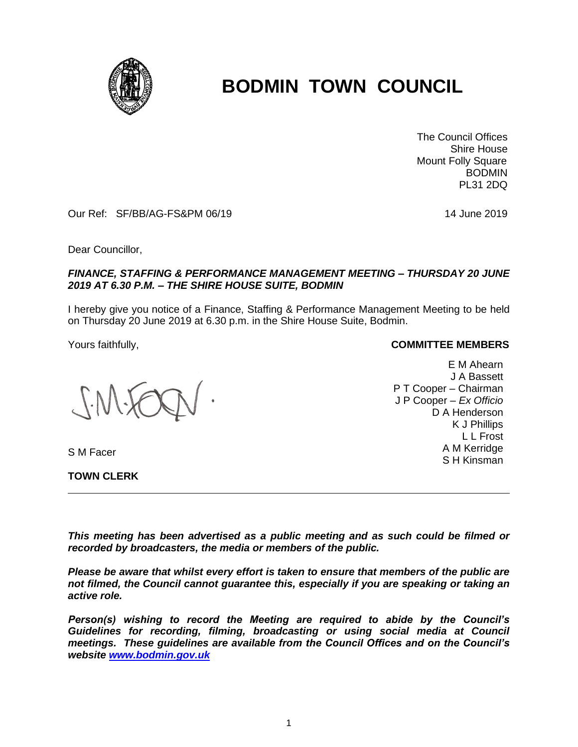

# **BODMIN TOWN COUNCIL**

 The Council Offices Shire House Mount Folly Square BODMIN PL31 2DQ

Our Ref: SF/BB/AG-FS&PM 06/19 14 June 2019

Dear Councillor,

### *FINANCE, STAFFING & PERFORMANCE MANAGEMENT MEETING – THURSDAY 20 JUNE 2019 AT 6.30 P.M. – THE SHIRE HOUSE SUITE, BODMIN*

I hereby give you notice of a Finance, Staffing & Performance Management Meeting to be held on Thursday 20 June 2019 at 6.30 p.m. in the Shire House Suite, Bodmin.

S M Facer

**TOWN CLERK**

#### Yours faithfully, **COMMITTEE MEMBERS**

E M Ahearn J A Bassett P T Cooper – Chairman J P Cooper – *Ex Officio* D A Henderson K J Phillips L L Frost A M Kerridge S H Kinsman

*This meeting has been advertised as a public meeting and as such could be filmed or recorded by broadcasters, the media or members of the public.*

*Please be aware that whilst every effort is taken to ensure that members of the public are not filmed, the Council cannot guarantee this, especially if you are speaking or taking an active role.*

*Person(s) wishing to record the Meeting are required to abide by the Council's Guidelines for recording, filming, broadcasting or using social media at Council meetings. These guidelines are available from the Council Offices and on the Council's website [www.bodmin.gov.uk](http://www.bodmin.gov.uk/)*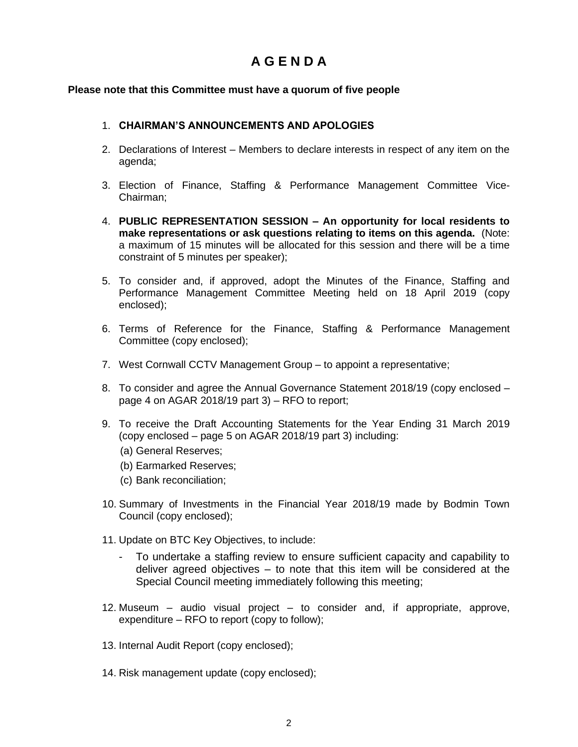# **A G E N D A**

## **Please note that this Committee must have a quorum of five people**

## 1. **CHAIRMAN'S ANNOUNCEMENTS AND APOLOGIES**

- 2. Declarations of Interest Members to declare interests in respect of any item on the agenda;
- 3. Election of Finance, Staffing & Performance Management Committee Vice-Chairman;
- 4. **PUBLIC REPRESENTATION SESSION – An opportunity for local residents to make representations or ask questions relating to items on this agenda.** (Note: a maximum of 15 minutes will be allocated for this session and there will be a time constraint of 5 minutes per speaker);
- 5. To consider and, if approved, adopt the Minutes of the Finance, Staffing and Performance Management Committee Meeting held on 18 April 2019 (copy enclosed);
- 6. Terms of Reference for the Finance, Staffing & Performance Management Committee (copy enclosed);
- 7. West Cornwall CCTV Management Group to appoint a representative;
- 8. To consider and agree the Annual Governance Statement 2018/19 (copy enclosed page 4 on AGAR 2018/19 part 3) – RFO to report;
- 9. To receive the Draft Accounting Statements for the Year Ending 31 March 2019 (copy enclosed – page 5 on AGAR 2018/19 part 3) including:
	- (a) General Reserves;
	- (b) Earmarked Reserves;
	- (c) Bank reconciliation;
- 10. Summary of Investments in the Financial Year 2018/19 made by Bodmin Town Council (copy enclosed);
- 11. Update on BTC Key Objectives, to include:
	- To undertake a staffing review to ensure sufficient capacity and capability to deliver agreed objectives – to note that this item will be considered at the Special Council meeting immediately following this meeting;
- 12. Museum audio visual project to consider and, if appropriate, approve, expenditure – RFO to report (copy to follow);
- 13. Internal Audit Report (copy enclosed);
- 14. Risk management update (copy enclosed);